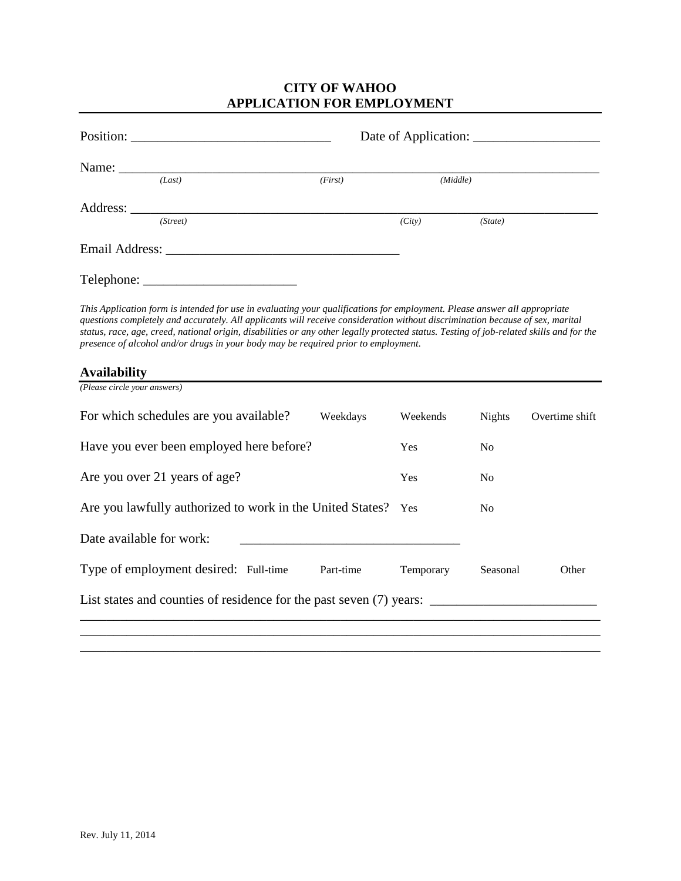# **CITY OF WAHOO APPLICATION FOR EMPLOYMENT**

| Position: |            |         |        |          |  |
|-----------|------------|---------|--------|----------|--|
|           | Name: Name |         |        |          |  |
|           | (Last)     | (First) |        | (Middle) |  |
|           |            |         |        |          |  |
|           | (Street)   |         | (City) | (State)  |  |
|           |            |         |        |          |  |
|           | Telephone: |         |        |          |  |

*This Application form is intended for use in evaluating your qualifications for employment. Please answer all appropriate questions completely and accurately. All applicants will receive consideration without discrimination because of sex, marital status, race, age, creed, national origin, disabilities or any other legally protected status. Testing of job-related skills and for the presence of alcohol and/or drugs in your body may be required prior to employment.* 

### **Availability**

| (Please circle your answers)                                        |           |            |                |                |
|---------------------------------------------------------------------|-----------|------------|----------------|----------------|
| For which schedules are you available?                              | Weekdays  | Weekends   | <b>Nights</b>  | Overtime shift |
| Have you ever been employed here before?                            |           | <b>Yes</b> | N <sub>0</sub> |                |
| Are you over 21 years of age?                                       |           | <b>Yes</b> | N <sub>0</sub> |                |
| Are you lawfully authorized to work in the United States? Yes       |           |            | N <sub>0</sub> |                |
| Date available for work:                                            |           |            |                |                |
| Type of employment desired: Full-time                               | Part-time | Temporary  | Seasonal       | Other          |
| List states and counties of residence for the past seven (7) years: |           |            |                |                |
|                                                                     |           |            |                |                |

\_\_\_\_\_\_\_\_\_\_\_\_\_\_\_\_\_\_\_\_\_\_\_\_\_\_\_\_\_\_\_\_\_\_\_\_\_\_\_\_\_\_\_\_\_\_\_\_\_\_\_\_\_\_\_\_\_\_\_\_\_\_\_\_\_\_\_\_\_\_\_\_\_\_\_\_\_\_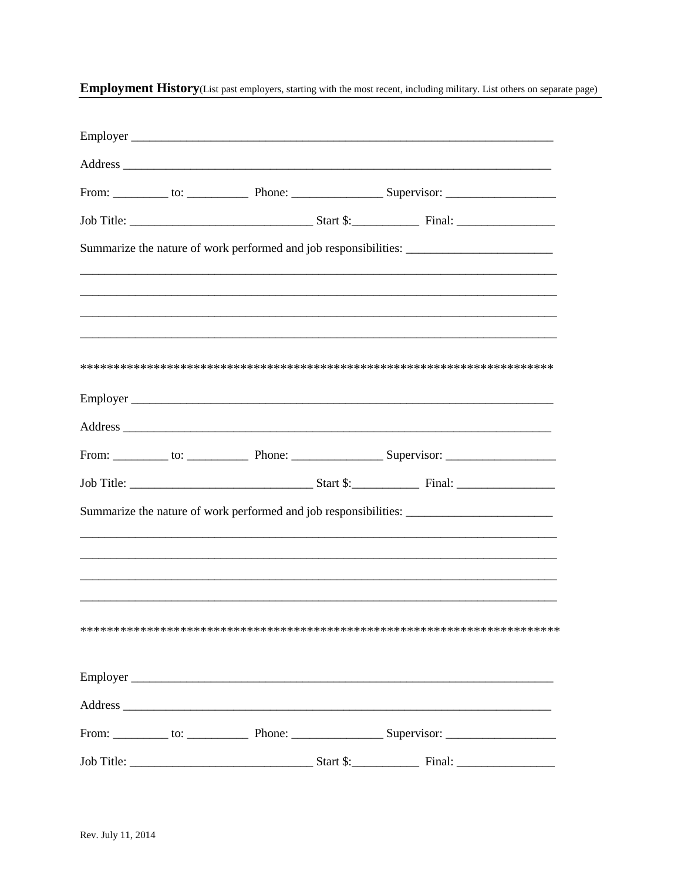|  |  | Address experience and the contract of the contract of the contract of the contract of the contract of the contract of the contract of the contract of the contract of the contract of the contract of the contract of the con |  |
|--|--|--------------------------------------------------------------------------------------------------------------------------------------------------------------------------------------------------------------------------------|--|
|  |  |                                                                                                                                                                                                                                |  |
|  |  |                                                                                                                                                                                                                                |  |
|  |  | Summarize the nature of work performed and job responsibilities: ________________                                                                                                                                              |  |
|  |  |                                                                                                                                                                                                                                |  |
|  |  |                                                                                                                                                                                                                                |  |
|  |  |                                                                                                                                                                                                                                |  |
|  |  |                                                                                                                                                                                                                                |  |
|  |  |                                                                                                                                                                                                                                |  |
|  |  |                                                                                                                                                                                                                                |  |
|  |  | Address                                                                                                                                                                                                                        |  |
|  |  |                                                                                                                                                                                                                                |  |
|  |  |                                                                                                                                                                                                                                |  |
|  |  | Summarize the nature of work performed and job responsibilities: ________________                                                                                                                                              |  |
|  |  |                                                                                                                                                                                                                                |  |
|  |  |                                                                                                                                                                                                                                |  |
|  |  |                                                                                                                                                                                                                                |  |
|  |  |                                                                                                                                                                                                                                |  |
|  |  |                                                                                                                                                                                                                                |  |
|  |  |                                                                                                                                                                                                                                |  |
|  |  | Address experience and the contract of the contract of the contract of the contract of the contract of the contract of the contract of the contract of the contract of the contract of the contract of the contract of the con |  |
|  |  |                                                                                                                                                                                                                                |  |
|  |  |                                                                                                                                                                                                                                |  |

Employment History(List past employers, starting with the most recent, including military. List others on separate page)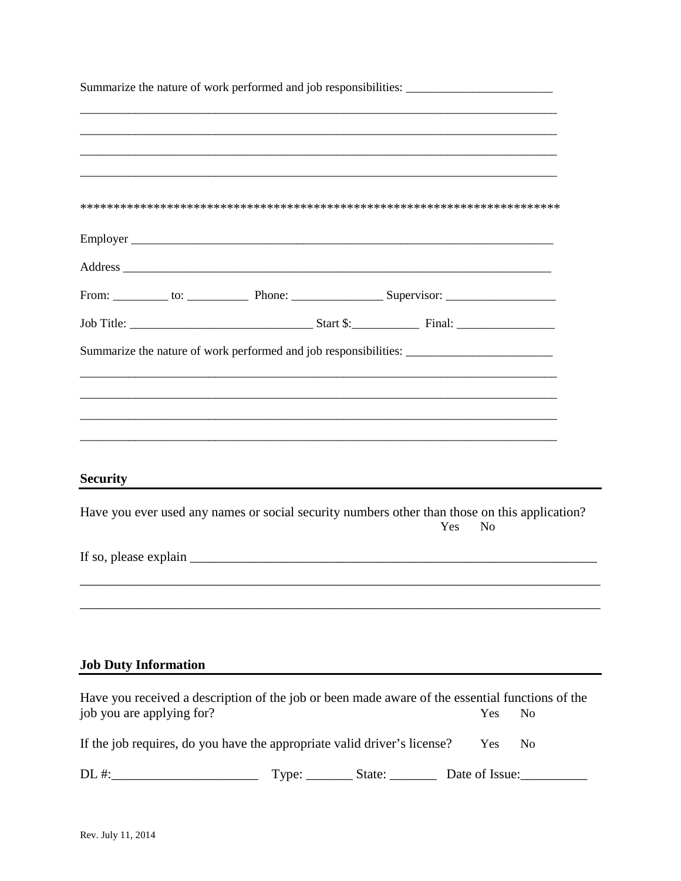|                             |  | Summarize the nature of work performed and job responsibilities: ________________                                                                                                                                              |                |                |
|-----------------------------|--|--------------------------------------------------------------------------------------------------------------------------------------------------------------------------------------------------------------------------------|----------------|----------------|
|                             |  |                                                                                                                                                                                                                                |                |                |
|                             |  |                                                                                                                                                                                                                                |                |                |
|                             |  |                                                                                                                                                                                                                                |                |                |
|                             |  |                                                                                                                                                                                                                                |                |                |
|                             |  |                                                                                                                                                                                                                                |                |                |
|                             |  | Address experience and the contract of the contract of the contract of the contract of the contract of the contract of the contract of the contract of the contract of the contract of the contract of the contract of the con |                |                |
|                             |  |                                                                                                                                                                                                                                |                |                |
|                             |  |                                                                                                                                                                                                                                |                |                |
|                             |  | Summarize the nature of work performed and job responsibilities: ________________                                                                                                                                              |                |                |
|                             |  |                                                                                                                                                                                                                                |                |                |
|                             |  |                                                                                                                                                                                                                                |                |                |
|                             |  | <u> 1990 - Jan Barnett, fransk politik (d. 1980)</u>                                                                                                                                                                           |                |                |
|                             |  |                                                                                                                                                                                                                                |                |                |
|                             |  |                                                                                                                                                                                                                                |                |                |
| <b>Security</b>             |  |                                                                                                                                                                                                                                |                |                |
|                             |  | Have you ever used any names or social security numbers other than those on this application?<br>Yes                                                                                                                           | N <sub>o</sub> |                |
|                             |  |                                                                                                                                                                                                                                |                |                |
|                             |  |                                                                                                                                                                                                                                |                |                |
|                             |  |                                                                                                                                                                                                                                |                |                |
|                             |  |                                                                                                                                                                                                                                |                |                |
|                             |  |                                                                                                                                                                                                                                |                |                |
| <b>Job Duty Information</b> |  |                                                                                                                                                                                                                                |                |                |
| job you are applying for?   |  | Have you received a description of the job or been made aware of the essential functions of the                                                                                                                                | Yes            | N <sub>o</sub> |
|                             |  |                                                                                                                                                                                                                                |                |                |
|                             |  | If the job requires, do you have the appropriate valid driver's license?                                                                                                                                                       | Yes            | N <sub>o</sub> |
|                             |  | Type: ___________ State: ______________ Date of Issue: __________________________                                                                                                                                              |                |                |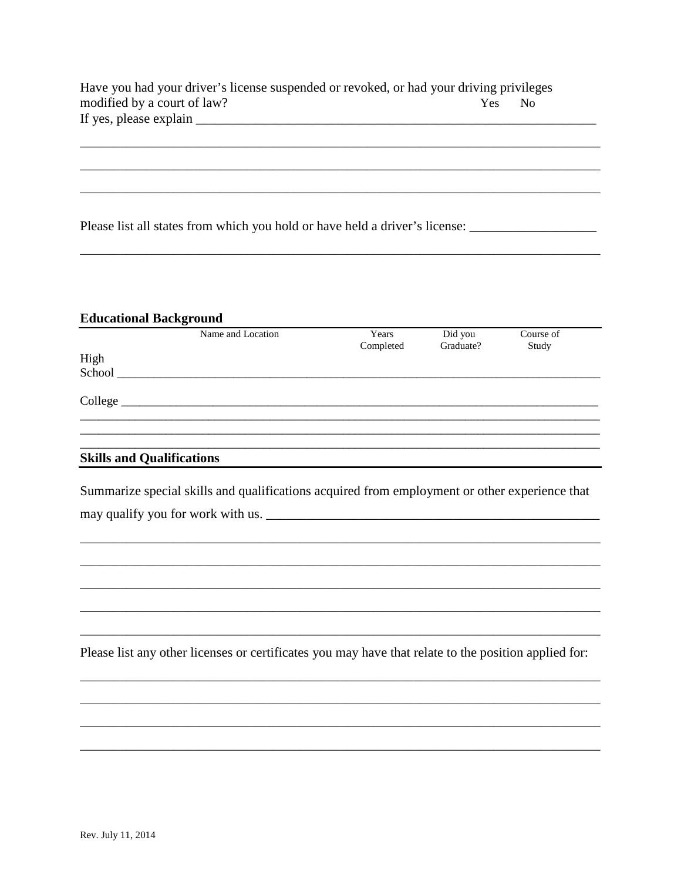| Have you had your driver's license suspended or revoked, or had your driving privileges |     |      |  |
|-----------------------------------------------------------------------------------------|-----|------|--|
| modified by a court of law?                                                             | Yes | - No |  |
| If yes, please explain                                                                  |     |      |  |

| Please list all states from which you hold or have held a driver's license: |  |
|-----------------------------------------------------------------------------|--|
|-----------------------------------------------------------------------------|--|

## **Educational Background**

|                                  | Name and Location | Years     | Did you   | Course of |
|----------------------------------|-------------------|-----------|-----------|-----------|
|                                  |                   | Completed | Graduate? | Study     |
| High                             |                   |           |           |           |
| School                           |                   |           |           |           |
| College                          |                   |           |           |           |
|                                  |                   |           |           |           |
|                                  |                   |           |           |           |
| <b>Skills and Qualifications</b> |                   |           |           |           |

<u> 1989 - Jan Barnett, fransk politiker (d. 1989)</u>

|                                   | Summarize special skills and qualifications acquired from employment or other experience that |
|-----------------------------------|-----------------------------------------------------------------------------------------------|
| may qualify you for work with us. |                                                                                               |

Please list any other licenses or certificates you may have that relate to the position applied for: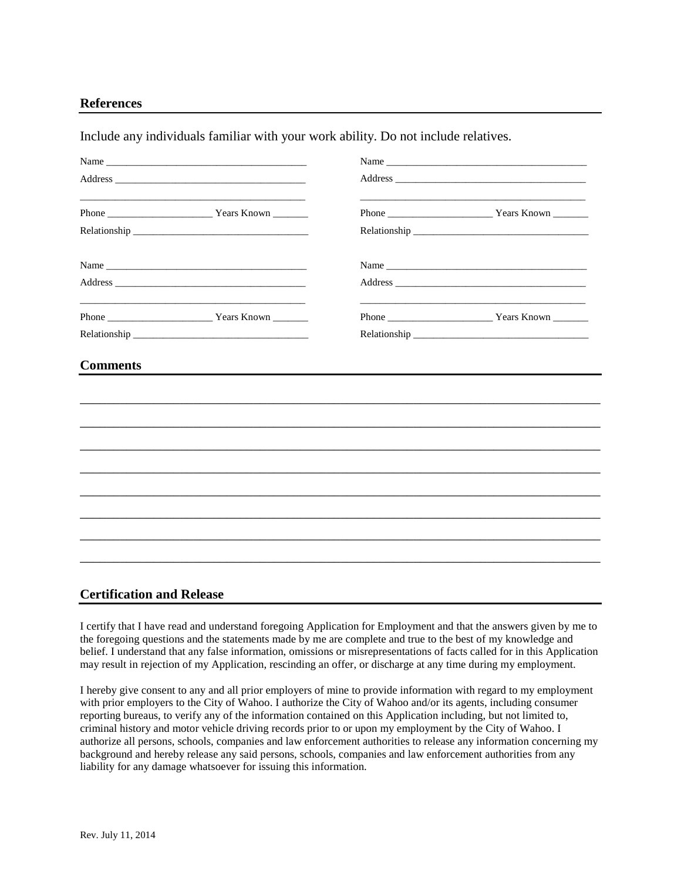#### **References**

Include any individuals familiar with your work ability. Do not include relatives.

| Name            |                                                                                                                       |  |                                                                                                                                                                                                                                |  |  |
|-----------------|-----------------------------------------------------------------------------------------------------------------------|--|--------------------------------------------------------------------------------------------------------------------------------------------------------------------------------------------------------------------------------|--|--|
|                 |                                                                                                                       |  |                                                                                                                                                                                                                                |  |  |
|                 |                                                                                                                       |  | Phone <u>Nearly Years Known</u>                                                                                                                                                                                                |  |  |
|                 |                                                                                                                       |  | Relationship experience and the set of the set of the set of the set of the set of the set of the set of the set of the set of the set of the set of the set of the set of the set of the set of the set of the set of the set |  |  |
|                 |                                                                                                                       |  |                                                                                                                                                                                                                                |  |  |
|                 |                                                                                                                       |  |                                                                                                                                                                                                                                |  |  |
|                 | <u> 1941 - Johann John Stein, market fan de Fryske fan de Fryske keamte fan de Fryske keamte fan de Fryske keam</u> t |  |                                                                                                                                                                                                                                |  |  |
|                 |                                                                                                                       |  |                                                                                                                                                                                                                                |  |  |
| <b>Comments</b> |                                                                                                                       |  |                                                                                                                                                                                                                                |  |  |
|                 |                                                                                                                       |  |                                                                                                                                                                                                                                |  |  |
|                 |                                                                                                                       |  |                                                                                                                                                                                                                                |  |  |
|                 |                                                                                                                       |  |                                                                                                                                                                                                                                |  |  |
|                 |                                                                                                                       |  |                                                                                                                                                                                                                                |  |  |
|                 |                                                                                                                       |  |                                                                                                                                                                                                                                |  |  |
|                 |                                                                                                                       |  |                                                                                                                                                                                                                                |  |  |
|                 |                                                                                                                       |  |                                                                                                                                                                                                                                |  |  |
|                 |                                                                                                                       |  |                                                                                                                                                                                                                                |  |  |
|                 |                                                                                                                       |  |                                                                                                                                                                                                                                |  |  |

### **Certification and Release**

I certify that I have read and understand foregoing Application for Employment and that the answers given by me to the foregoing questions and the statements made by me are complete and true to the best of my knowledge and belief. I understand that any false information, omissions or misrepresentations of facts called for in this Application may result in rejection of my Application, rescinding an offer, or discharge at any time during my employment.

I hereby give consent to any and all prior employers of mine to provide information with regard to my employment with prior employers to the City of Wahoo. I authorize the City of Wahoo and/or its agents, including consumer reporting bureaus, to verify any of the information contained on this Application including, but not limited to, criminal history and motor vehicle driving records prior to or upon my employment by the City of Wahoo. I authorize all persons, schools, companies and law enforcement authorities to release any information concerning my background and hereby release any said persons, schools, companies and law enforcement authorities from any liability for any damage whatsoever for issuing this information.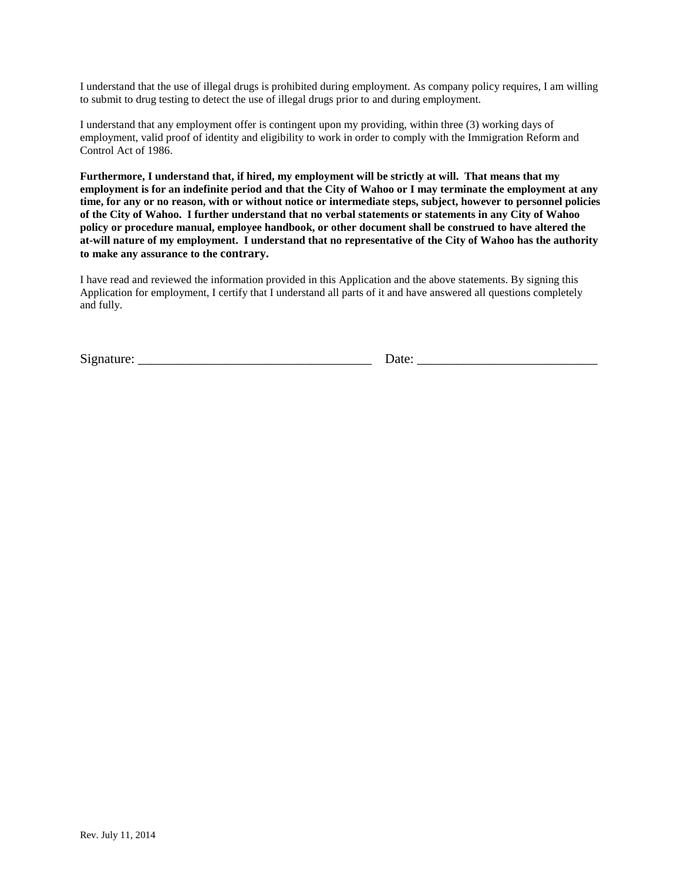I understand that the use of illegal drugs is prohibited during employment. As company policy requires, I am willing to submit to drug testing to detect the use of illegal drugs prior to and during employment.

I understand that any employment offer is contingent upon my providing, within three (3) working days of employment, valid proof of identity and eligibility to work in order to comply with the Immigration Reform and Control Act of 1986.

**Furthermore, I understand that, if hired, my employment will be strictly at will. That means that my employment is for an indefinite period and that the City of Wahoo or I may terminate the employment at any time, for any or no reason, with or without notice or intermediate steps, subject, however to personnel policies of the City of Wahoo. I further understand that no verbal statements or statements in any City of Wahoo policy or procedure manual, employee handbook, or other document shall be construed to have altered the at-will nature of my employment. I understand that no representative of the City of Wahoo has the authority to make any assurance to the contrary.** 

I have read and reviewed the information provided in this Application and the above statements. By signing this Application for employment, I certify that I understand all parts of it and have answered all questions completely and fully.

Signature: \_\_\_\_\_\_\_\_\_\_\_\_\_\_\_\_\_\_\_\_\_\_\_\_\_\_\_\_\_\_\_\_\_\_\_ Date: \_\_\_\_\_\_\_\_\_\_\_\_\_\_\_\_\_\_\_\_\_\_\_\_\_\_\_